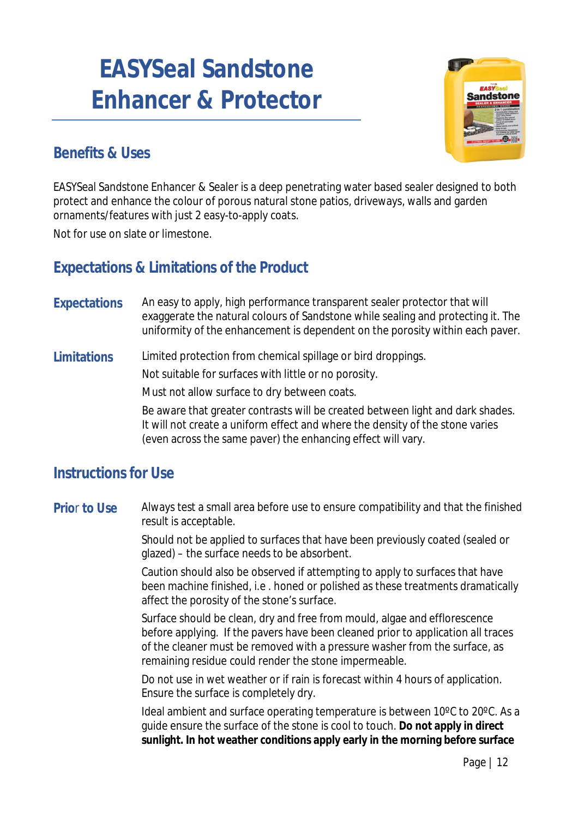# **EASYSeal Sandstone Enhancer & Protector**



# **Benefits & Uses**

EASYSeal Sandstone Enhancer & Sealer is a deep penetrating water based sealer designed to both protect and enhance the colour of porous natural stone patios, driveways, walls and garden ornaments/features with just 2 easy-to-apply coats.

Not for use on slate or limestone.

# **Expectations & Limitations of the Product**

**Expectations** An easy to apply, high performance transparent sealer protector that will exaggerate the natural colours of Sandstone while sealing and protecting it. The uniformity of the enhancement is dependent on the porosity within each paver.

**Limitations** Limited protection from chemical spillage or bird droppings.

Not suitable for surfaces with little or no porosity.

Must not allow surface to dry between coats.

Be aware that greater contrasts will be created between light and dark shades. It will not create a uniform effect and where the density of the stone varies (even across the same paver) the enhancing effect will vary.

### **Instructions for Use**

**Prio**r **to Use** Always test a small area before use to ensure compatibility and that the finished result is acceptable.

> Should not be applied to surfaces that have been previously coated (sealed or glazed) – the surface needs to be absorbent.

Caution should also be observed if attempting to apply to surfaces that have been machine finished, i.e . honed or polished as these treatments dramatically affect the porosity of the stone's surface.

Surface should be clean, dry and free from mould, algae and efflorescence before applying. If the pavers have been cleaned prior to application all traces of the cleaner must be removed with a pressure washer from the surface, as remaining residue could render the stone impermeable.

Do not use in wet weather or if rain is forecast within 4 hours of application. Ensure the surface is completely dry.

Ideal ambient and surface operating temperature is between 10ºC to 20ºC. As a guide ensure the surface of the stone is cool to touch. **Do not apply in direct sunlight. In hot weather conditions apply early in the morning before surface**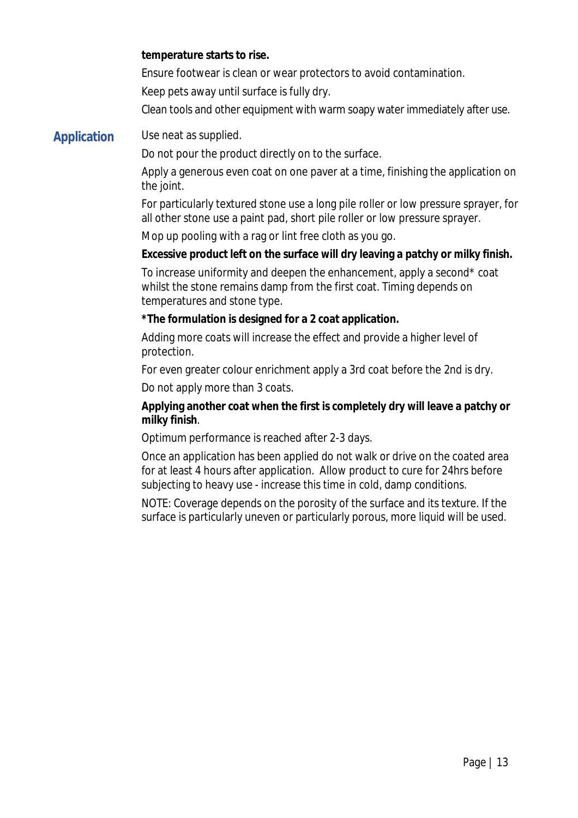#### **temperature starts to rise.**

Ensure footwear is clean or wear protectors to avoid contamination.

Keep pets away until surface is fully dry.

Clean tools and other equipment with warm soapy water immediately after use.

#### **Application** Use neat as supplied.

Do not pour the product directly on to the surface.

Apply a generous even coat on one paver at a time, finishing the application on the joint.

For particularly textured stone use a long pile roller or low pressure sprayer, for all other stone use a paint pad, short pile roller or low pressure sprayer.

Mop up pooling with a rag or lint free cloth as you go.

#### **Excessive product left on the surface will dry leaving a patchy or milky finish.**

To increase uniformity and deepen the enhancement, apply a second\* coat whilst the stone remains damp from the first coat. Timing depends on temperatures and stone type.

#### **\*The formulation is designed for a 2 coat application.**

Adding more coats will increase the effect and provide a higher level of protection.

For even greater colour enrichment apply a 3rd coat before the 2nd is dry.

Do not apply more than 3 coats.

#### **Applying another coat when the first is completely dry will leave a patchy or milky finish**.

Optimum performance is reached after 2-3 days.

Once an application has been applied do not walk or drive on the coated area for at least 4 hours after application. Allow product to cure for 24hrs before subjecting to heavy use - increase this time in cold, damp conditions.

NOTE: Coverage depends on the porosity of the surface and its texture. If the surface is particularly uneven or particularly porous, more liquid will be used.